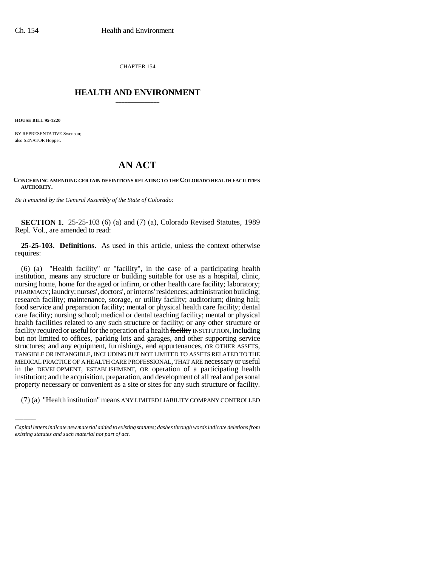CHAPTER 154

## \_\_\_\_\_\_\_\_\_\_\_\_\_\_\_ **HEALTH AND ENVIRONMENT** \_\_\_\_\_\_\_\_\_\_\_\_\_\_\_

**HOUSE BILL 95-1220**

BY REPRESENTATIVE Swenson; also SENATOR Hopper.

## **AN ACT**

## **CONCERNING AMENDING CERTAIN DEFINITIONS RELATING TO THE COLORADO HEALTH FACILITIES AUTHORITY.**

*Be it enacted by the General Assembly of the State of Colorado:*

**SECTION 1.** 25-25-103 (6) (a) and (7) (a), Colorado Revised Statutes, 1989 Repl. Vol., are amended to read:

**25-25-103. Definitions.** As used in this article, unless the context otherwise requires:

INEDICAL FRACTICE OF ATTEALITY CARE FROFESSIONAL, THAT ARE INCUSSALY OF USEITH the DEVELOPMENT, ESTABLISHMENT, OR operation of a participating health (6) (a) "Health facility" or "facility", in the case of a participating health institution, means any structure or building suitable for use as a hospital, clinic, nursing home, home for the aged or infirm, or other health care facility; laboratory; PHARMACY; laundry; nurses', doctors', or interns' residences; administration building; research facility; maintenance, storage, or utility facility; auditorium; dining hall; food service and preparation facility; mental or physical health care facility; dental care facility; nursing school; medical or dental teaching facility; mental or physical health facilities related to any such structure or facility; or any other structure or facility required or useful for the operation of a health facility INSTITUTION, including but not limited to offices, parking lots and garages, and other supporting service structures; and any equipment, furnishings, and appurtenances, OR OTHER ASSETS, TANGIBLE OR INTANGIBLE, INCLUDING BUT NOT LIMITED TO ASSETS RELATED TO THE MEDICAL PRACTICE OF A HEALTH CARE PROFESSIONAL, THAT ARE necessary or useful institution; and the acquisition, preparation, and development of all real and personal property necessary or convenient as a site or sites for any such structure or facility.

(7) (a) "Health institution" means ANY LIMITED LIABILITY COMPANY CONTROLLED

*Capital letters indicate new material added to existing statutes; dashes through words indicate deletions from existing statutes and such material not part of act.*